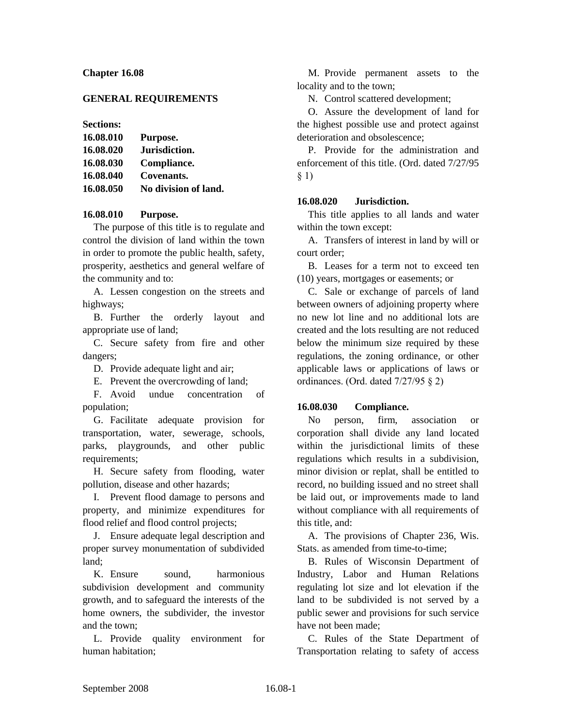# **Chapter 16.08**

### **GENERAL REQUIREMENTS**

### **Sections:**

| 16.08.010 | Purpose.             |
|-----------|----------------------|
| 16.08.020 | Jurisdiction.        |
| 16.08.030 | Compliance.          |
| 16.08.040 | Covenants.           |
| 16.08.050 | No division of land. |

### **16.08.010 Purpose.**

The purpose of this title is to regulate and control the division of land within the town in order to promote the public health, safety, prosperity, aesthetics and general welfare of the community and to:

A. Lessen congestion on the streets and highways;

B. Further the orderly layout and appropriate use of land;

C. Secure safety from fire and other dangers;

D. Provide adequate light and air;

E. Prevent the overcrowding of land;

F. Avoid undue concentration of population;

G. Facilitate adequate provision for transportation, water, sewerage, schools, parks, playgrounds, and other public requirements;

H. Secure safety from flooding, water pollution, disease and other hazards;

I. Prevent flood damage to persons and property, and minimize expenditures for flood relief and flood control projects;

J. Ensure adequate legal description and proper survey monumentation of subdivided land;

K. Ensure sound, harmonious subdivision development and community growth, and to safeguard the interests of the home owners, the subdivider, the investor and the town;

L. Provide quality environment for human habitation;

M. Provide permanent assets to the locality and to the town;

N. Control scattered development;

O. Assure the development of land for the highest possible use and protect against deterioration and obsolescence;

P. Provide for the administration and enforcement of this title. (Ord. dated 7/27/95 § 1)

### **16.08.020 Jurisdiction.**

This title applies to all lands and water within the town except:

A. Transfers of interest in land by will or court order;

B. Leases for a term not to exceed ten (10) years, mortgages or easements; or

C. Sale or exchange of parcels of land between owners of adjoining property where no new lot line and no additional lots are created and the lots resulting are not reduced below the minimum size required by these regulations, the zoning ordinance, or other applicable laws or applications of laws or ordinances. (Ord. dated 7/27/95 § 2)

#### **16.08.030 Compliance.**

No person, firm, association or corporation shall divide any land located within the jurisdictional limits of these regulations which results in a subdivision, minor division or replat, shall be entitled to record, no building issued and no street shall be laid out, or improvements made to land without compliance with all requirements of this title, and:

A. The provisions of Chapter 236, Wis. Stats. as amended from time-to-time;

B. Rules of Wisconsin Department of Industry, Labor and Human Relations regulating lot size and lot elevation if the land to be subdivided is not served by a public sewer and provisions for such service have not been made;

C. Rules of the State Department of Transportation relating to safety of access